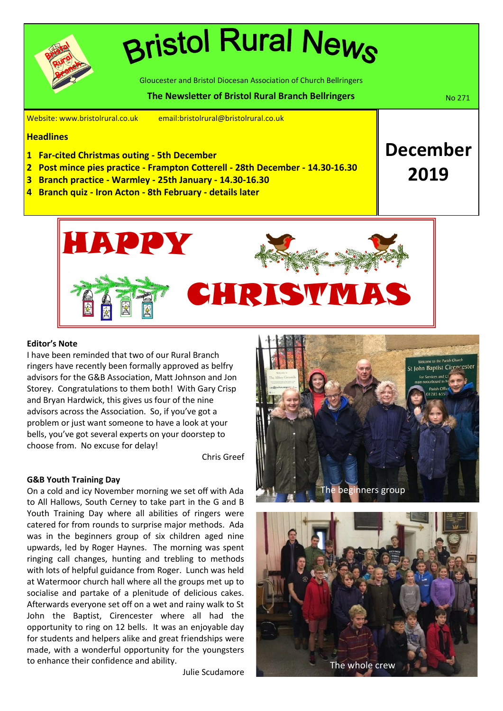# **Bristol Rural News**

Gloucester and Bristol Diocesan Association of Church Bellringers

#### **The Newsletter of Bristol Rural Branch Bellringers No. 2018** No. 271

**December**

**2019**

Website: www.bristolrural.co.uk email:bristolrural@bristolrural.co.uk

#### **Headlines**

- **1 Far-cited Christmas outing 5th December**
- **2 Post mince pies practice Frampton Cotterell 28th December 14.30-16.30**
- **3 Branch practice Warmley 25th January 14.30-16.30**
- **4 Branch quiz Iron Acton 8th February details later**



#### **Editor's Note**

I have been reminded that two of our Rural Branch ringers have recently been formally approved as belfry advisors for the G&B Association, Matt Johnson and Jon Storey. Congratulations to them both! With Gary Crisp and Bryan Hardwick, this gives us four of the nine advisors across the Association. So, if you've got a problem or just want someone to have a look at your bells, you've got several experts on your doorstep to choose from. No excuse for delay!

Chris Greef

#### **G&B Youth Training Day**

On a cold and icy November morning we set off with Ada to All Hallows, South Cerney to take part in the G and B Youth Training Day where all abilities of ringers were catered for from rounds to surprise major methods. Ada was in the beginners group of six children aged nine upwards, led by Roger Haynes. The morning was spent ringing call changes, hunting and trebling to methods with lots of helpful guidance from Roger. Lunch was held at Watermoor church hall where all the groups met up to socialise and partake of a plenitude of delicious cakes. Afterwards everyone set off on a wet and rainy walk to St John the Baptist, Cirencester where all had the opportunity to ring on 12 bells. It was an enjoyable day for students and helpers alike and great friendships were made, with a wonderful opportunity for the youngsters to enhance their confidence and ability.

Julie Scudamore



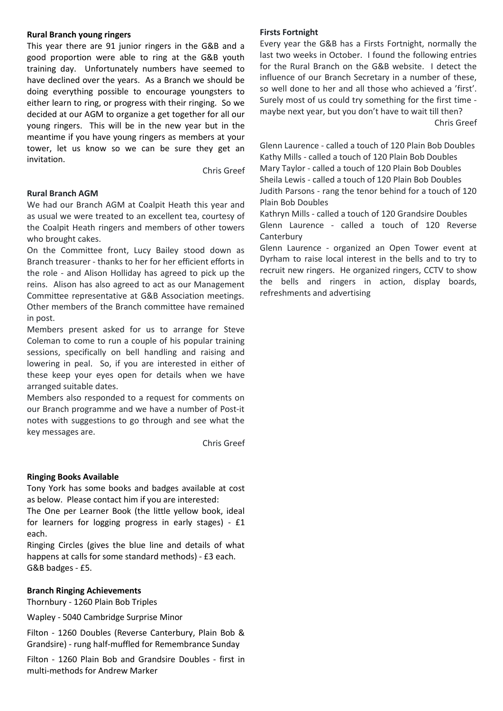#### **Rural Branch young ringers**

This year there are 91 junior ringers in the G&B and a good proportion were able to ring at the G&B youth training day. Unfortunately numbers have seemed to have declined over the years. As a Branch we should be doing everything possible to encourage youngsters to either learn to ring, or progress with their ringing. So we decided at our AGM to organize a get together for all our young ringers. This will be in the new year but in the meantime if you have young ringers as members at your tower, let us know so we can be sure they get an invitation.

Chris Greef

#### **Rural Branch AGM**

We had our Branch AGM at Coalpit Heath this year and as usual we were treated to an excellent tea, courtesy of the Coalpit Heath ringers and members of other towers who brought cakes.

On the Committee front, Lucy Bailey stood down as Branch treasurer - thanks to her for her efficient efforts in the role - and Alison Holliday has agreed to pick up the reins. Alison has also agreed to act as our Management Committee representative at G&B Association meetings. Other members of the Branch committee have remained in post.

Members present asked for us to arrange for Steve Coleman to come to run a couple of his popular training sessions, specifically on bell handling and raising and lowering in peal. So, if you are interested in either of these keep your eyes open for details when we have arranged suitable dates.

Members also responded to a request for comments on our Branch programme and we have a number of Post-it notes with suggestions to go through and see what the key messages are.

Chris Greef

#### **Ringing Books Available**

Tony York has some books and badges available at cost as below. Please contact him if you are interested:

The One per Learner Book (the little yellow book, ideal for learners for logging progress in early stages) - £1 each.

Ringing Circles (gives the blue line and details of what happens at calls for some standard methods) - £3 each. G&B badges - £5.

#### **Branch Ringing Achievements**

Thornbury - 1260 Plain Bob Triples

Wapley - 5040 Cambridge Surprise Minor

Filton - 1260 Doubles (Reverse Canterbury, Plain Bob & Grandsire) - rung half-muffled for Remembrance Sunday

Filton - 1260 Plain Bob and Grandsire Doubles - first in multi-methods for Andrew Marker

#### **Firsts Fortnight**

Every year the G&B has a Firsts Fortnight, normally the last two weeks in October. I found the following entries for the Rural Branch on the G&B website. I detect the influence of our Branch Secretary in a number of these, so well done to her and all those who achieved a 'first'. Surely most of us could try something for the first time maybe next year, but you don't have to wait till then? Chris Greef

Glenn Laurence - called a touch of 120 Plain Bob Doubles Kathy Mills - called a touch of 120 Plain Bob Doubles Mary Taylor - called a touch of 120 Plain Bob Doubles Sheila Lewis - called a touch of 120 Plain Bob Doubles Judith Parsons - rang the tenor behind for a touch of 120 Plain Bob Doubles

Kathryn Mills - called a touch of 120 Grandsire Doubles Glenn Laurence - called a touch of 120 Reverse **Canterbury** 

Glenn Laurence - organized an Open Tower event at Dyrham to raise local interest in the bells and to try to recruit new ringers. He organized ringers, CCTV to show the bells and ringers in action, display boards, refreshments and advertising